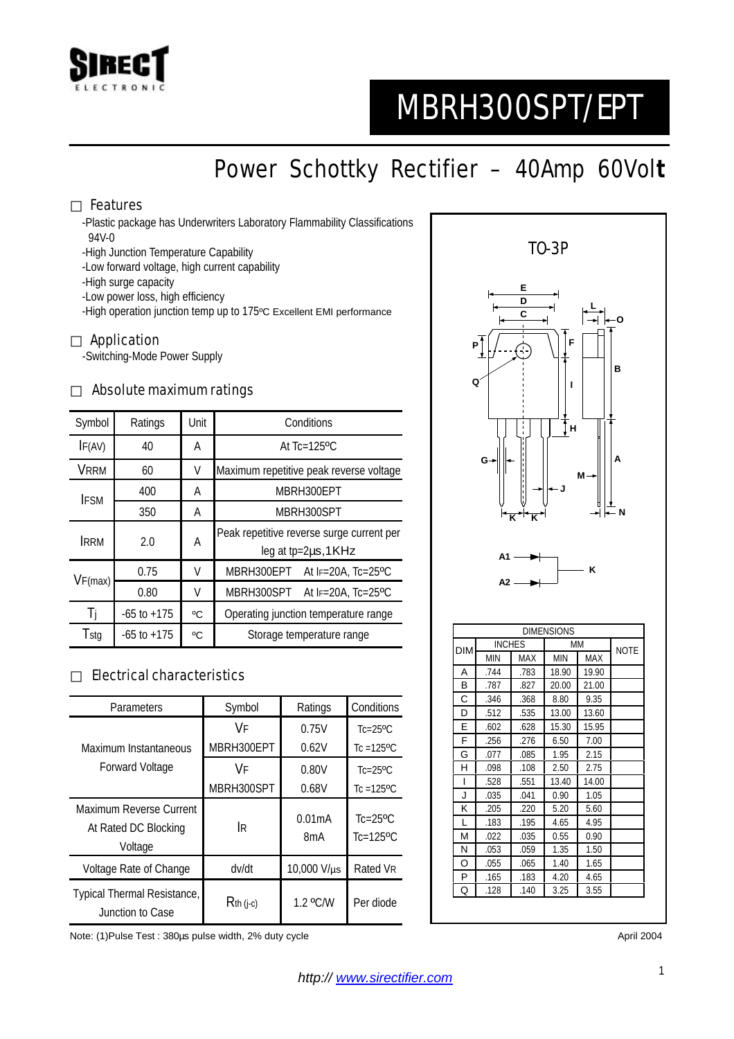

# MBRH300SPT/EPT

## Power Schottky Rectifier – 40Amp 60Vol**t**

#### Features

-Plastic package has Underwriters Laboratory Flammability Classifications 94V-0

- -High Junction Temperature Capability
- -Low forward voltage, high current capability

-High surge capacity

-Low power loss, high efficiency

-High operation junction temp up to 175ºC Excellent EMI performance

#### Application

-Switching-Mode Power Supply

#### Absolute maximum ratings

| Symbol      | Ratings         | Unit | Conditions                                                             |  |  |
|-------------|-----------------|------|------------------------------------------------------------------------|--|--|
| IF(AV)      | 40              | Α    | At $Tc=125$ <sup>o</sup> $C$                                           |  |  |
| <b>VRRM</b> | 60              | V    | Maximum repetitive peak reverse voltage                                |  |  |
| <b>IFSM</b> | 400             | Α    | MBRH300EPT                                                             |  |  |
|             | 350             | A    | MBRH300SPT                                                             |  |  |
| <b>IRRM</b> | 2.0             | Α    | Peak repetitive reverse surge current per<br>leg at $tp=2\mu s$ , 1KHz |  |  |
| VF(max)     | 0.75            | V    | MBRH300EPT At IF=20A, Tc=25°C                                          |  |  |
|             | 0.80            | V    | MBRH300SPT At IF=20A, Tc=25°C                                          |  |  |
| Ti          | $-65$ to $+175$ | °C   | Operating junction temperature range                                   |  |  |
| Tstg        | $-65$ to $+175$ | °C   | Storage temperature range                                              |  |  |

#### Electrical characteristics

| Parameters                                                 | Symbol       | Ratings                    | Conditions                                            |
|------------------------------------------------------------|--------------|----------------------------|-------------------------------------------------------|
|                                                            | V۴           | 0.75V                      | $Tc = 25$ °C                                          |
| Maximum Instantaneous                                      | MBRH300EPT   | 0.62V                      | $Tc = 125$ <sup>o</sup> $C$                           |
| Forward Voltage                                            | V۴           | 0.80V                      | $Tc = 25$ °C                                          |
|                                                            | MBRH300SPT   | 0.68V                      | Tc = $125$ <sup>o</sup> C                             |
| Maximum Reverse Current<br>At Rated DC Blocking<br>Voltage | <b>IR</b>    | 0.01mA<br>8 <sub>m</sub> A | $Tc=25$ <sup>o</sup> $C$<br>$Tc=125$ <sup>o</sup> $C$ |
| Voltage Rate of Change                                     | dv/dt        | 10,000 V/µs                | Rated VR                                              |
| Typical Thermal Resistance,<br>Junction to Case            | $R$ th (j-c) | 1.2 °C/W                   | Per diode                                             |

TO-3P **D F I H K K G N M A B O L J E C P Q A1 A2 K** DIMENSIONS DIM MCHES MM<br>MIN MAX MIN MAX NOTE

| A | .744 | .783 | 18.90 | 19.90 |  |
|---|------|------|-------|-------|--|
| B | .787 | .827 | 20.00 | 21.00 |  |
| C | .346 | .368 | 8.80  | 9.35  |  |
| D | .512 | .535 | 13.00 | 13.60 |  |
| E | .602 | .628 | 15.30 | 15.95 |  |
| F | .256 | .276 | 6.50  | 7.00  |  |
| G | .077 | .085 | 1.95  | 2.15  |  |
| н | .098 | .108 | 2.50  | 2.75  |  |
|   | .528 | .551 | 13.40 | 14.00 |  |
| J | .035 | .041 | 0.90  | 1.05  |  |
| Κ | .205 | .220 | 5.20  | 5.60  |  |
| L | .183 | .195 | 4.65  | 4.95  |  |
| M | .022 | .035 | 0.55  | 0.90  |  |
| Ν | .053 | .059 | 1.35  | 1.50  |  |
| O | .055 | .065 | 1.40  | 1.65  |  |
| P | .165 | .183 | 4.20  | 4.65  |  |
| Q | .128 | .140 | 3.25  | 3.55  |  |

Note: (1)Pulse Test : 380us pulse width, 2% duty cycle April 2004